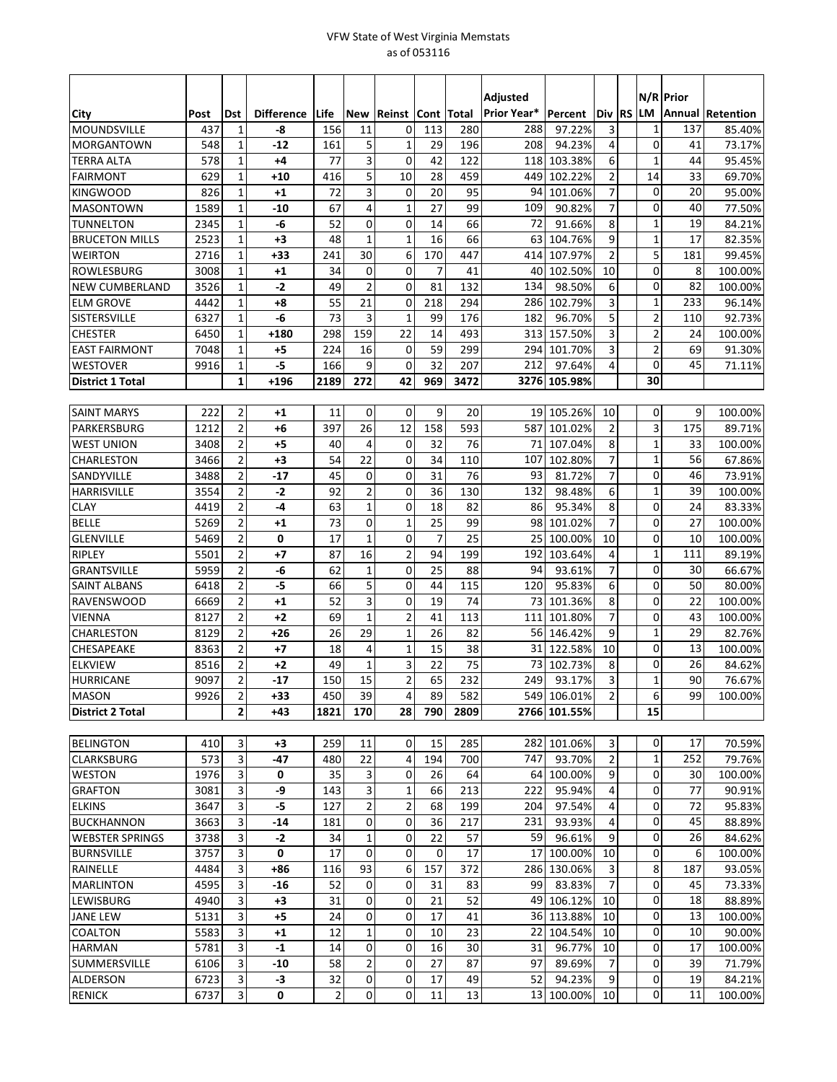## VFW State of West Virginia Memstats as of 053116

|                         |      |                              |                   |           |                         |                |                |      | Adjusted<br>Prior Year* |              |                         |              |              | N/R Prior |                         |
|-------------------------|------|------------------------------|-------------------|-----------|-------------------------|----------------|----------------|------|-------------------------|--------------|-------------------------|--------------|--------------|-----------|-------------------------|
| City                    | Post | <b>Dst</b>                   | <b>Difference</b> | Life      | <b>New</b>              | Reinst         | Cont   Total   |      |                         | Percent      | Div                     | <b>RS LM</b> |              |           | <b>Annual Retention</b> |
| <b>MOUNDSVILLE</b>      | 437  | 1                            | -8                | 156       | 11                      | 0              | 113            | 280  | 288                     | 97.22%       | 3<br>4                  |              | 1            | 137       | 85.40%                  |
| <b>MORGANTOWN</b>       | 548  | $\mathbf{1}$                 | $-12$             | 161       | 5                       | $\mathbf{1}$   | 29             | 196  | 208                     | 94.23%       |                         |              | 0            | 41<br>44  | 73.17%                  |
| <b>TERRA ALTA</b>       | 578  | $\mathbf{1}$                 | +4                | 77        | 3                       | $\mathbf 0$    | 42             | 122  | 118                     | 103.38%      | 6                       |              | 1            | 33        | 95.45%                  |
| <b>FAIRMONT</b>         | 629  | $\mathbf{1}$<br>$\mathbf{1}$ | $+10$             | 416<br>72 | 5<br>$\overline{3}$     | 10             | 28<br>20       | 459  | 449                     | 102.22%      | $\overline{\mathbf{c}}$ |              | 14           |           | 69.70%                  |
| <b>KINGWOOD</b>         | 826  |                              | $+1$              |           |                         | $\mathbf 0$    |                | 95   | 94                      | 101.06%      | 7                       |              | $\mathbf 0$  | 20        | 95.00%                  |
| <b>MASONTOWN</b>        | 1589 | $\mathbf{1}$                 | -10               | 67        | 4                       | $\mathbf{1}$   | 27             | 99   | 109                     | 90.82%       | $\overline{7}$          |              | 0            | 40        | 77.50%                  |
| <b>TUNNELTON</b>        | 2345 | $\mathbf{1}$                 | -6                | 52        | 0                       | $\mathbf 0$    | 14             | 66   | 72                      | 91.66%       | 8                       |              | 1            | 19        | 84.21%                  |
| <b>BRUCETON MILLS</b>   | 2523 | $\mathbf{1}$                 | +3                | 48        | $\mathbf{1}$            | $\mathbf{1}$   | 16             | 66   | 63                      | 104.76%      | 9                       |              | $\mathbf{1}$ | 17        | 82.35%                  |
| <b>WEIRTON</b>          | 2716 | $\mathbf{1}$                 | +33               | 241       | 30                      | 6              | 170            | 447  | 414                     | 107.97%      | $\overline{2}$          |              | 5            | 181       | 99.45%                  |
| <b>ROWLESBURG</b>       | 3008 | $\mathbf{1}$                 | +1                | 34        | 0                       | $\mathbf 0$    | $\overline{7}$ | 41   | 40                      | 102.50%      | 10                      |              | 0            | 8         | 100.00%                 |
| <b>NEW CUMBERLAND</b>   | 3526 | $\mathbf{1}$                 | $-2$              | 49        | $\overline{c}$          | 0              | 81             | 132  | 134                     | 98.50%       | 6                       |              | 0            | 82        | 100.00%                 |
| <b>ELM GROVE</b>        | 4442 | $\mathbf{1}$                 | +8                | 55        | 21                      | $\mathbf 0$    | 218            | 294  | 286                     | 102.79%      | 3                       |              | 1            | 233       | 96.14%                  |
| <b>SISTERSVILLE</b>     | 6327 | $\mathbf{1}$                 | -6                | 73        | 3                       | $\mathbf{1}$   | 99             | 176  | 182                     | 96.70%       | 5                       |              | 2            | 110       | 92.73%                  |
| <b>CHESTER</b>          | 6450 | $\mathbf{1}$                 | $+180$            | 298       | 159                     | 22             | 14             | 493  | 313                     | 157.50%      | 3                       |              | 2            | 24        | 100.00%                 |
| <b>EAST FAIRMONT</b>    | 7048 | $\mathbf{1}$                 | +5                | 224       | 16                      | 0              | 59             | 299  | 294                     | 101.70%      | 3                       |              | 2            | 69        | 91.30%                  |
| <b>WESTOVER</b>         | 9916 | $\mathbf{1}$                 | -5                | 166       | 9                       | $\mathbf 0$    | 32             | 207  | 212                     | 97.64%       | 4                       |              | $\mathbf 0$  | 45        | 71.11%                  |
| <b>District 1 Total</b> |      | $\mathbf{1}$                 | $+196$            | 2189      | 272                     | 42             | 969            | 3472 |                         | 3276 105.98% |                         |              | 30           |           |                         |
|                         |      |                              |                   |           |                         |                |                |      |                         |              |                         |              |              |           |                         |
| <b>SAINT MARYS</b>      | 222  | $\overline{2}$               | $+1$              | 11        | 0                       | $\mathbf 0$    | 9              | 20   |                         | 19 105.26%   | 10                      |              | 0            | 9         | 100.00%                 |
| PARKERSBURG             | 1212 | $\overline{2}$               | +6                | 397       | 26                      | 12             | 158            | 593  | 587                     | 101.02%      | $\overline{2}$          |              | 3            | 175       | 89.71%                  |
| <b>WEST UNION</b>       | 3408 | $\overline{2}$               | +5                | 40        | 4                       | 0              | 32             | 76   | 71                      | 107.04%      | 8                       |              | 1            | 33        | 100.00%                 |
| <b>CHARLESTON</b>       | 3466 | $\overline{2}$               | +3                | 54        | 22                      | $\mathbf 0$    | 34             | 110  | 107                     | 102.80%      | $\overline{7}$          |              | 1            | 56        | 67.86%                  |
| SANDYVILLE              | 3488 | 2                            | -17               | 45        | 0                       | 0              | 31             | 76   | 93                      | 81.72%       | 7                       |              | 0            | 46        | 73.91%                  |
| <b>HARRISVILLE</b>      | 3554 | $\overline{2}$               | $-2$              | 92        | $\overline{\mathbf{c}}$ | 0              | 36             | 130  | 132                     | 98.48%       | 6                       |              | $\mathbf{1}$ | 39        | 100.00%                 |
| <b>CLAY</b>             | 4419 | 2                            | -4                | 63        | $\mathbf{1}$            | $\mathbf 0$    | 18             | 82   | 86                      | 95.34%       | 8                       |              | 0            | 24        | 83.33%                  |
| <b>BELLE</b>            | 5269 | 2                            | +1                | 73        | 0                       | 1              | 25             | 99   | 98                      | 101.02%      | 7                       |              | 0            | 27        | 100.00%                 |
| <b>GLENVILLE</b>        | 5469 | $\overline{2}$               | 0                 | 17        | $\overline{1}$          | 0              | $\overline{7}$ | 25   | 25                      | 100.00%      | 10                      |              | 0            | 10        | 100.00%                 |
| <b>RIPLEY</b>           | 5501 | $\overline{2}$               | +7                | 87        | 16                      | $\overline{2}$ | 94             | 199  | 192                     | 103.64%      | 4                       |              | 1            | 111       | 89.19%                  |
| <b>GRANTSVILLE</b>      | 5959 | $\overline{2}$               | -6                | 62        | $\mathbf 1$             | 0              | 25             | 88   | 94                      | 93.61%       | 7                       |              | 0            | 30        | 66.67%                  |
| <b>SAINT ALBANS</b>     | 6418 | $\overline{2}$               | -5                | 66        | 5                       | 0              | 44             | 115  | 120                     | 95.83%       | 6                       |              | $\mathbf 0$  | 50        | 80.00%                  |
| <b>RAVENSWOOD</b>       | 6669 | $\overline{2}$               | $+1$              | 52        | 3                       | $\mathbf 0$    | 19             | 74   | 73                      | 101.36%      | 8                       |              | 0            | 22        | 100.00%                 |
| <b>VIENNA</b>           | 8127 | 2                            | $+2$              | 69        | $\mathbf{1}$            | 2              | 41             | 113  | 111                     | 101.80%      | 7                       |              | 0            | 43        | 100.00%                 |
| <b>CHARLESTON</b>       | 8129 | $\overline{2}$               | $+26$             | 26        | 29                      | 1              | 26             | 82   | <b>56</b>               | 146.42%      | 9                       |              | $\mathbf{1}$ | 29        | 82.76%                  |
| <b>CHESAPEAKE</b>       | 8363 | $\overline{2}$               | $+7$              | 18        | 4                       | $\mathbf{1}$   | 15             | 38   | 31                      | 122.58%      | 10                      |              | 0            | 13        | 100.00%                 |
| <b>ELKVIEW</b>          | 8516 | 2                            | $+2$              | 49        | $\mathbf 1$             | 3              | 22             | 75   | 73                      | 102.73%      | 8                       |              | 0            | 26        | 84.62%                  |
| <b>HURRICANE</b>        | 9097 | $\overline{2}$               | $-17$             | 150       | 15                      | $\overline{2}$ | 65             | 232  | 249                     | 93.17%       | 3                       |              | $\mathbf{1}$ | 90        | 76.67%                  |
| <b>MASON</b>            | 9926 | 2                            | $+33$             | 450       | 39                      | 4              | 89             | 582  |                         | 549 106.01%  | $\overline{2}$          |              | 6            | 99        | 100.00%                 |
| <b>District 2 Total</b> |      | $\overline{2}$               | +43               | 1821      | 170                     | 28             | 790            | 2809 |                         | 2766 101.55% |                         |              | 15           |           |                         |
|                         |      |                              |                   |           |                         |                |                |      |                         |              |                         |              |              |           |                         |
| <b>BELINGTON</b>        | 410  | 3                            | +3                | 259       | 11                      | 0              | 15             | 285  |                         | 282 101.06%  | 3                       |              | 0            | 17        | 70.59%                  |
| <b>CLARKSBURG</b>       | 573  | 3                            | -47               | 480       | 22                      | 4              | 194            | 700  | 747                     | 93.70%       | $\overline{2}$          |              | 1            | 252       | 79.76%                  |
| <b>WESTON</b>           | 1976 | 3                            | 0                 | 35        | 3                       | 0              | 26             | 64   | 64                      | 100.00%      | 9                       |              | 0            | 30        | 100.00%                 |
| <b>GRAFTON</b>          | 3081 | 3                            | -9                | 143       | 3                       | $\mathbf{1}$   | 66             | 213  | 222                     | 95.94%       | 4                       |              | 0            | 77        | 90.91%                  |
| <b>ELKINS</b>           | 3647 | 3                            | -5                | 127       | $\overline{2}$          | $\overline{2}$ | 68             | 199  | 204                     | 97.54%       | 4                       |              | $\mathbf 0$  | 72        | 95.83%                  |
| <b>BUCKHANNON</b>       | 3663 | 3                            | -14               | 181       | 0                       | 0              | 36             | 217  | 231                     | 93.93%       | 4                       |              | 0            | 45        | 88.89%                  |
| <b>WEBSTER SPRINGS</b>  | 3738 | 3                            | $-2$              | 34        | $\mathbf 1$             | 0              | 22             | 57   | 59                      | 96.61%       | 9                       |              | $\mathbf 0$  | 26        | 84.62%                  |
| <b>BURNSVILLE</b>       | 3757 | 3                            | 0                 | 17        | 0                       | 0              | 0              | 17   | 17                      | 100.00%      | 10                      |              | $\mathbf 0$  | 6         | 100.00%                 |
| RAINELLE                | 4484 | 3                            | +86               | 116       | 93                      | 6              | 157            | 372  | 286                     | 130.06%      | 3                       |              | 8            | 187       | 93.05%                  |
| <b>MARLINTON</b>        | 4595 | 3                            | $-16$             | 52        | 0                       | 0              | 31             | 83   | 99                      | 83.83%       | 7                       |              | 0            | 45        | 73.33%                  |
| LEWISBURG               | 4940 | 3                            | $+3$              | 31        | 0                       | 0              | 21             | 52   | 49                      | 106.12%      | 10                      |              | 0            | 18        | 88.89%                  |
| <b>JANE LEW</b>         | 5131 | 3                            | +5                | 24        | 0                       | 0              | 17             | 41   | 36 I                    | 113.88%      | 10                      |              | 0            | 13        | 100.00%                 |
| <b>COALTON</b>          | 5583 | 3                            | $+1$              | 12        | $\mathbf{1}$            | 0              | 10             | 23   | 22                      | 104.54%      | 10                      |              | $\mathbf 0$  | 10        | 90.00%                  |
| <b>HARMAN</b>           | 5781 | 3                            | $-1$              | 14        | 0                       | 0              | 16             | 30   | 31                      | 96.77%       | 10                      |              | 0            | 17        | 100.00%                 |
| SUMMERSVILLE            | 6106 | 3                            | -10               | 58        | $\mathbf{2}$            | 0              | 27             | 87   | 97                      | 89.69%       | 7                       |              | 0            | 39        | 71.79%                  |
| ALDERSON                | 6723 | 3                            | $-3$              | 32        | $\boldsymbol{0}$        | $\pmb{0}$      | 17             | 49   | 52                      | 94.23%       | 9                       |              | 0            | 19        | 84.21%                  |
| <b>RENICK</b>           |      | 3                            | 0                 | 2         | 0                       | 0              | 11             | 13   | 13                      | 100.00%      | 10                      |              | 0            | 11        | 100.00%                 |
|                         | 6737 |                              |                   |           |                         |                |                |      |                         |              |                         |              |              |           |                         |